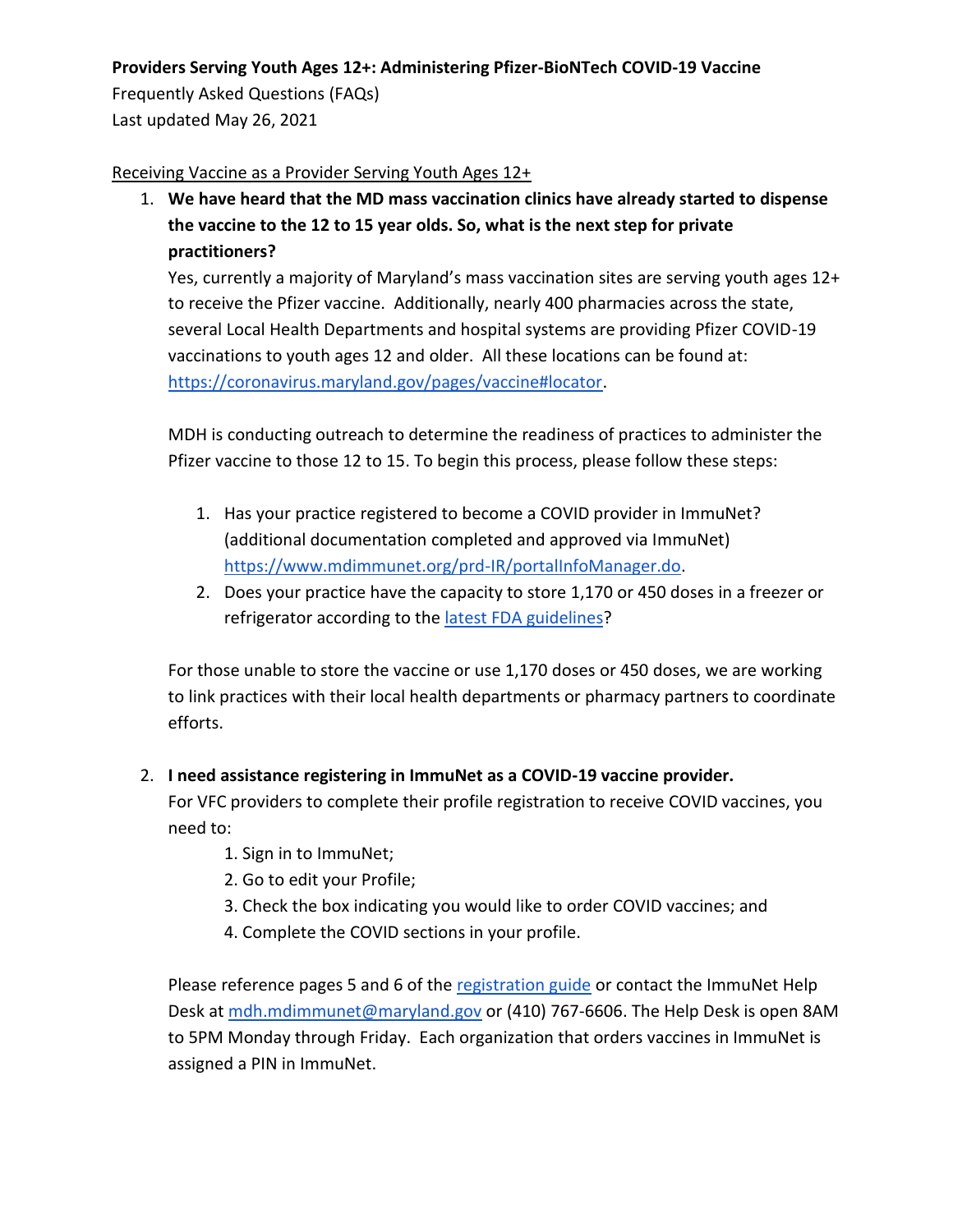### **Providers Serving Youth Ages 12+: Administering Pfizer-BioNTech COVID-19 Vaccine**

Frequently Asked Questions (FAQs) Last updated May 26, 2021

### Receiving Vaccine as a Provider Serving Youth Ages 12+

1. **We have heard that the MD mass vaccination clinics have already started to dispense the vaccine to the 12 to 15 year olds. So, what is the next step for private practitioners?**

Yes, currently a majority of Maryland's mass vaccination sites are serving youth ages 12+ to receive the Pfizer vaccine. Additionally, nearly 400 pharmacies across the state, several Local Health Departments and hospital systems are providing Pfizer COVID-19 vaccinations to youth ages 12 and older. All these locations can be found at: [https://coronavirus.maryland.gov/pages/vaccine#locator.](https://coronavirus.maryland.gov/pages/vaccine#locator)

MDH is conducting outreach to determine the readiness of practices to administer the Pfizer vaccine to those 12 to 15. To begin this process, please follow these steps:

- 1. Has your practice registered to become a COVID provider in ImmuNet? (additional documentation completed and approved via ImmuNet) [https://www.mdimmunet.org/prd-IR/portalInfoManager.do.](https://www.mdimmunet.org/prd-IR/portalInfoManager.do)
- 2. Does your practice have the capacity to store 1,170 or 450 doses in a freezer or refrigerator according to the [latest FDA guidelines?](https://www.fda.gov/media/144413/download)

For those unable to store the vaccine or use 1,170 doses or 450 doses, we are working to link practices with their local health departments or pharmacy partners to coordinate efforts.

### 2. **I need assistance registering in ImmuNet as a COVID-19 vaccine provider.**

For VFC providers to complete their profile registration to receive COVID vaccines, you need to:

- 1. Sign in to ImmuNet;
- 2. Go to edit your Profile;
- 3. Check the box indicating you would like to order COVID vaccines; and
- 4. Complete the COVID sections in your profile.

Please reference pages 5 and 6 of the [registration guide](https://phpa.health.maryland.gov/OIDEOR/IMMUN/Shared%20Documents/ImmuNet_COVID19-Vaccine-Registration-Guide.pdf) or contact the ImmuNet Help Desk a[t mdh.mdimmunet@maryland.gov](mailto:mdh.mdimmunet@maryland.gov) or (410) 767-6606. The Help Desk is open 8AM to 5PM Monday through Friday. Each organization that orders vaccines in ImmuNet is assigned a PIN in ImmuNet.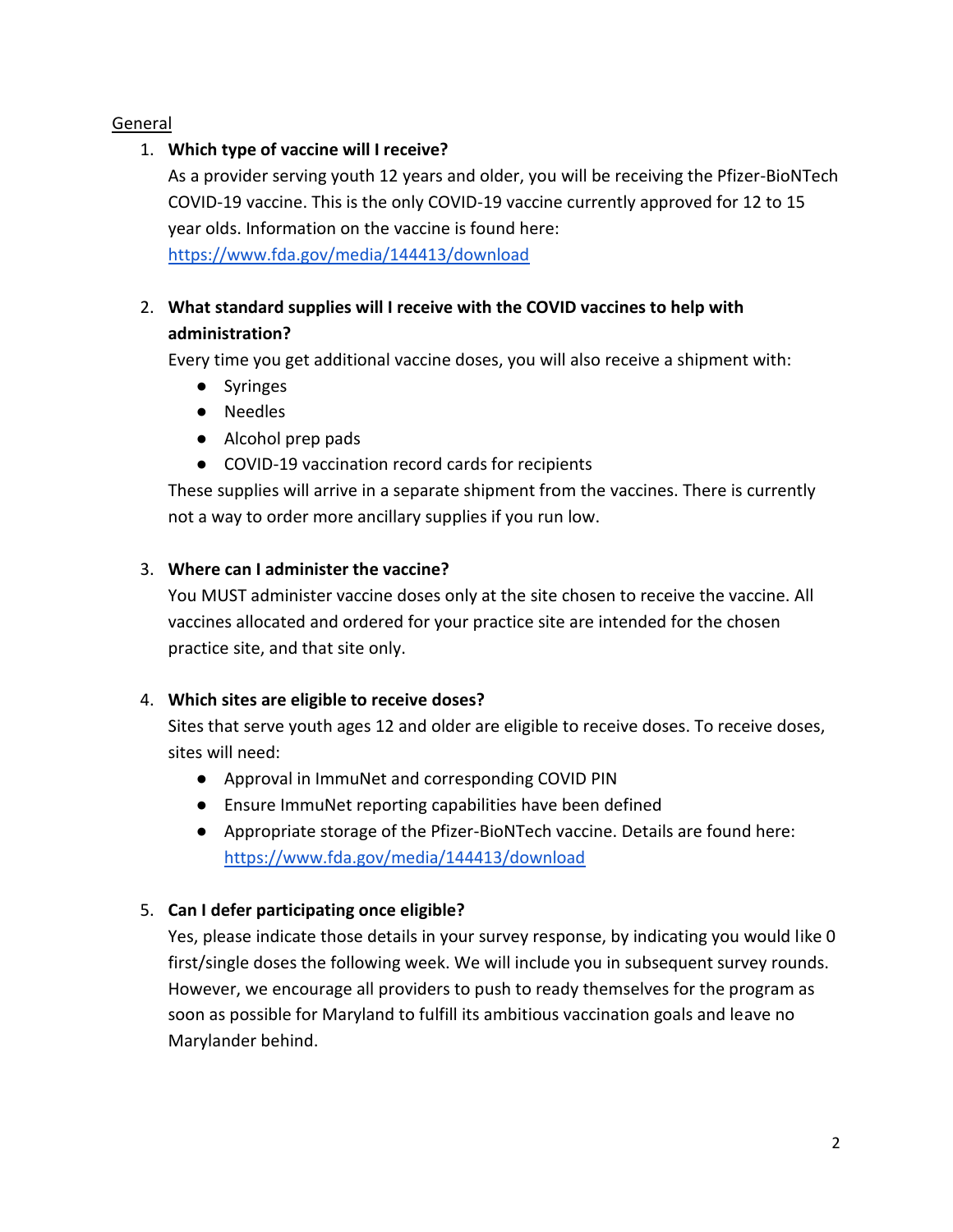### General

# 1. **Which type of vaccine will I receive?**

As a provider serving youth 12 years and older, you will be receiving the Pfizer-BioNTech COVID-19 vaccine. This is the only COVID-19 vaccine currently approved for 12 to 15 year olds. Information on the vaccine is found here: <https://www.fda.gov/media/144413/download>

# 2. **What standard supplies will I receive with the COVID vaccines to help with administration?**

Every time you get additional vaccine doses, you will also receive a shipment with:

- Syringes
- Needles
- Alcohol prep pads
- COVID-19 vaccination record cards for recipients

These supplies will arrive in a separate shipment from the vaccines. There is currently not a way to order more ancillary supplies if you run low.

# 3. **Where can I administer the vaccine?**

You MUST administer vaccine doses only at the site chosen to receive the vaccine. All vaccines allocated and ordered for your practice site are intended for the chosen practice site, and that site only.

# 4. **Which sites are eligible to receive doses?**

Sites that serve youth ages 12 and older are eligible to receive doses. To receive doses, sites will need:

- Approval in ImmuNet and corresponding COVID PIN
- Ensure ImmuNet reporting capabilities have been defined
- Appropriate storage of the Pfizer-BioNTech vaccine. Details are found here: <https://www.fda.gov/media/144413/download>

# 5. **Can I defer participating once eligible?**

Yes, please indicate those details in your survey response, by indicating you would like 0 first/single doses the following week. We will include you in subsequent survey rounds. However, we encourage all providers to push to ready themselves for the program as soon as possible for Maryland to fulfill its ambitious vaccination goals and leave no Marylander behind.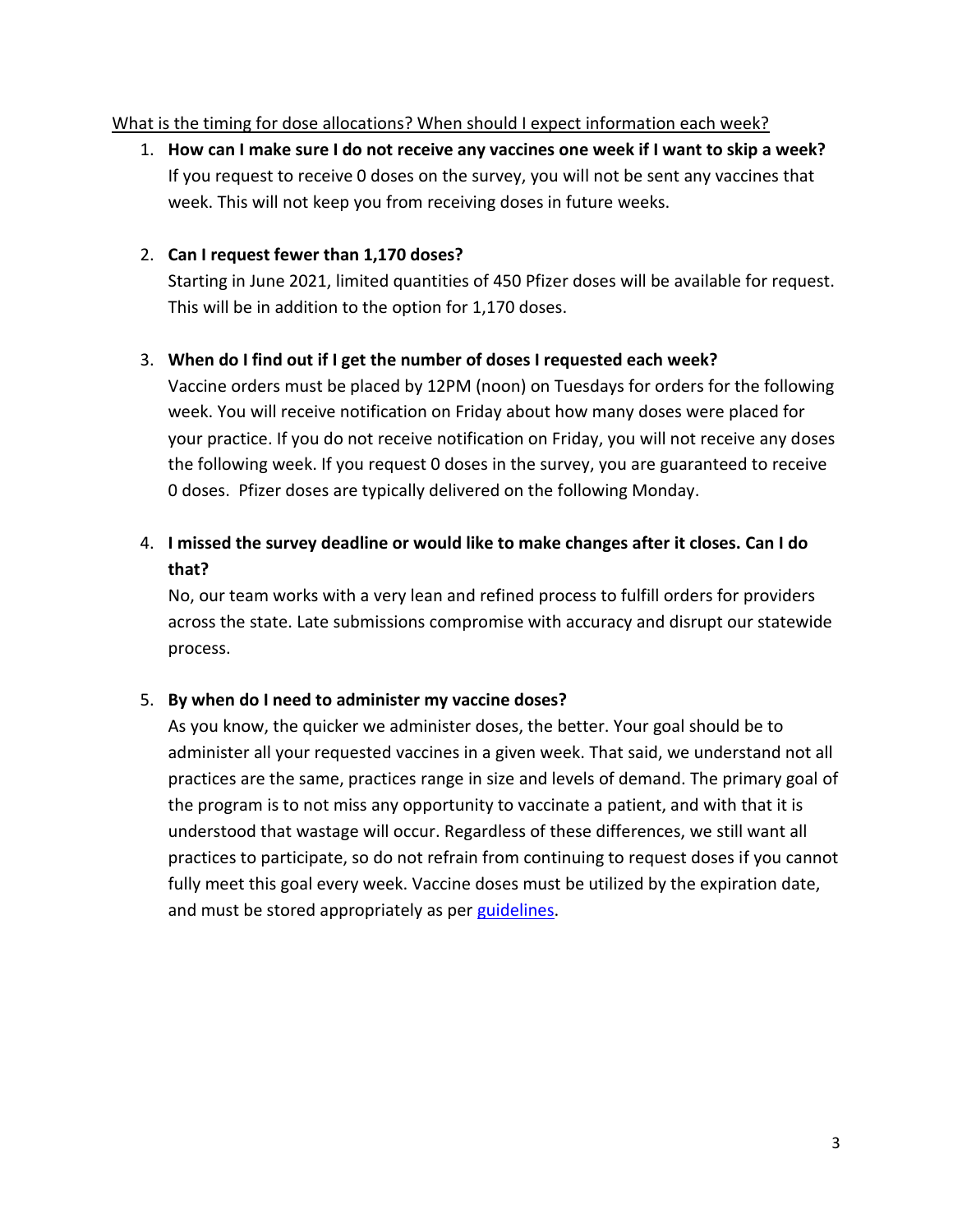#### What is the timing for dose allocations? When should I expect information each week?

1. **How can I make sure I do not receive any vaccines one week if I want to skip a week?**  If you request to receive 0 doses on the survey, you will not be sent any vaccines that week. This will not keep you from receiving doses in future weeks.

#### 2. **Can I request fewer than 1,170 doses?**

Starting in June 2021, limited quantities of 450 Pfizer doses will be available for request. This will be in addition to the option for 1,170 doses.

#### 3. **When do I find out if I get the number of doses I requested each week?**

Vaccine orders must be placed by 12PM (noon) on Tuesdays for orders for the following week. You will receive notification on Friday about how many doses were placed for your practice. If you do not receive notification on Friday, you will not receive any doses the following week. If you request 0 doses in the survey, you are guaranteed to receive 0 doses. Pfizer doses are typically delivered on the following Monday.

# 4. **I missed the survey deadline or would like to make changes after it closes. Can I do that?**

No, our team works with a very lean and refined process to fulfill orders for providers across the state. Late submissions compromise with accuracy and disrupt our statewide process.

#### 5. **By when do I need to administer my vaccine doses?**

As you know, the quicker we administer doses, the better. Your goal should be to administer all your requested vaccines in a given week. That said, we understand not all practices are the same, practices range in size and levels of demand. The primary goal of the program is to not miss any opportunity to vaccinate a patient, and with that it is understood that wastage will occur. Regardless of these differences, we still want all practices to participate, so do not refrain from continuing to request doses if you cannot fully meet this goal every week. Vaccine doses must be utilized by the expiration date, and must be stored appropriately as per [guidelines.](https://www.cdc.gov/vaccines/covid-19/info-by-product/pfizer/downloads/storage-summary.pdf)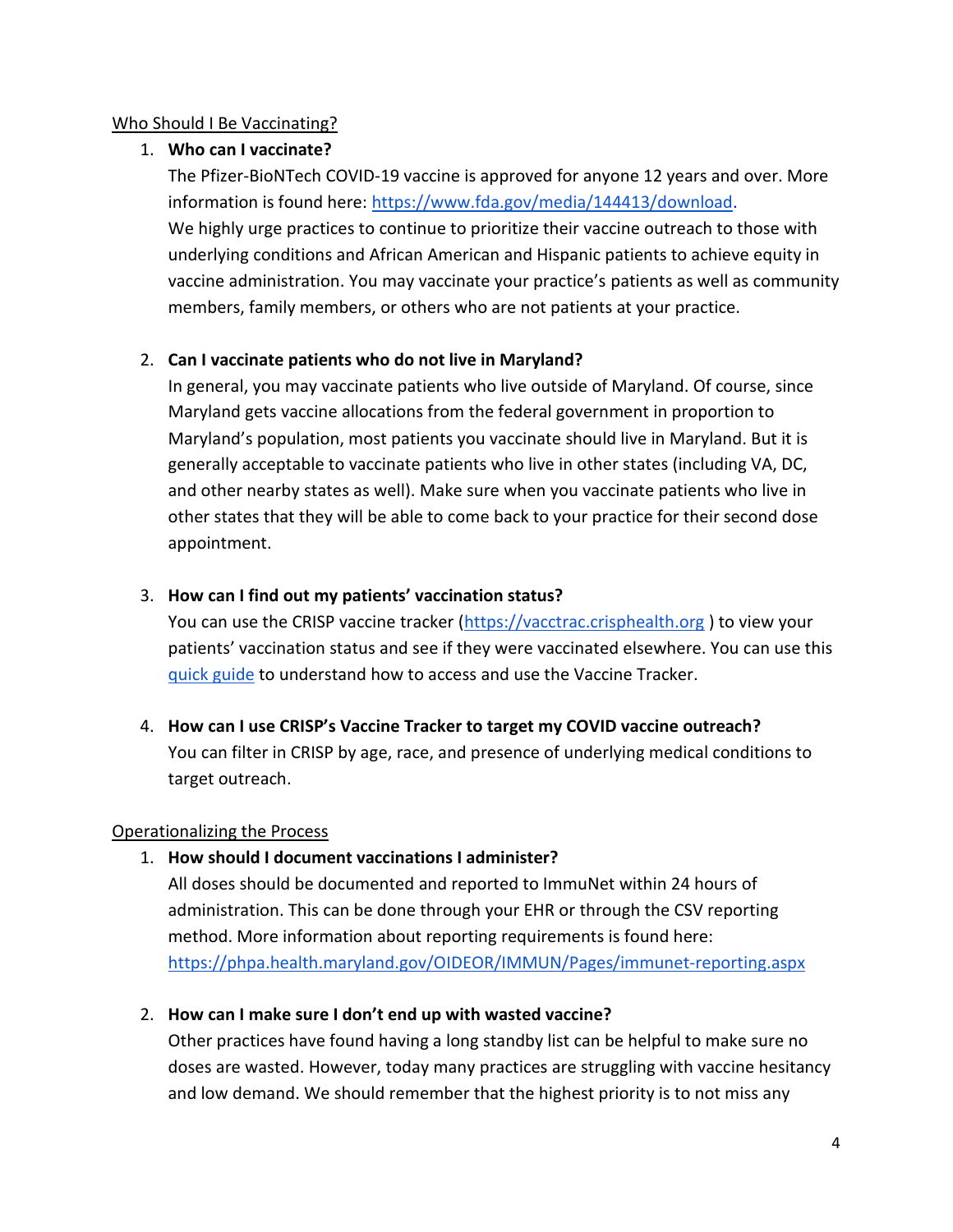### Who Should I Be Vaccinating?

### 1. **Who can I vaccinate?**

The Pfizer-BioNTech COVID-19 vaccine is approved for anyone 12 years and over. More information is found here: [https://www.fda.gov/media/144413/download.](https://www.fda.gov/media/144413/download) We highly urge practices to continue to prioritize their vaccine outreach to those with underlying conditions and African American and Hispanic patients to achieve equity in vaccine administration. You may vaccinate your practice's patients as well as community members, family members, or others who are not patients at your practice.

### 2. **Can I vaccinate patients who do not live in Maryland?**

In general, you may vaccinate patients who live outside of Maryland. Of course, since Maryland gets vaccine allocations from the federal government in proportion to Maryland's population, most patients you vaccinate should live in Maryland. But it is generally acceptable to vaccinate patients who live in other states (including VA, DC, and other nearby states as well). Make sure when you vaccinate patients who live in other states that they will be able to come back to your practice for their second dose appointment.

### 3. **How can I find out my patients' vaccination status?**

You can use the CRISP vaccine tracker [\(https://vacctrac.crisphealth.org](https://vacctrac.crisphealth.org/)) to view your patients' vaccination status and see if they were vaccinated elsewhere. You can use this [quick guide](https://health.maryland.gov/mdpcp/Documents/Vaccine_Tracker_Guide_MDPCP_Vaccine_Pilot.pdf) to understand how to access and use the Vaccine Tracker.

# 4. **How can I use CRISP's Vaccine Tracker to target my COVID vaccine outreach?**  You can filter in CRISP by age, race, and presence of underlying medical conditions to target outreach.

### Operationalizing the Process

### 1. **How should I document vaccinations I administer?**

All doses should be documented and reported to ImmuNet within 24 hours of administration. This can be done through your EHR or through the CSV reporting method. More information about reporting requirements is found here: https://phpa.health.maryland.gov/OIDEOR/IMMUN/Pages/immunet-reporting.aspx

### 2. **How can I make sure I don't end up with wasted vaccine?**

Other practices have found having a long standby list can be helpful to make sure no doses are wasted. However, today many practices are struggling with vaccine hesitancy and low demand. We should remember that the highest priority is to not miss any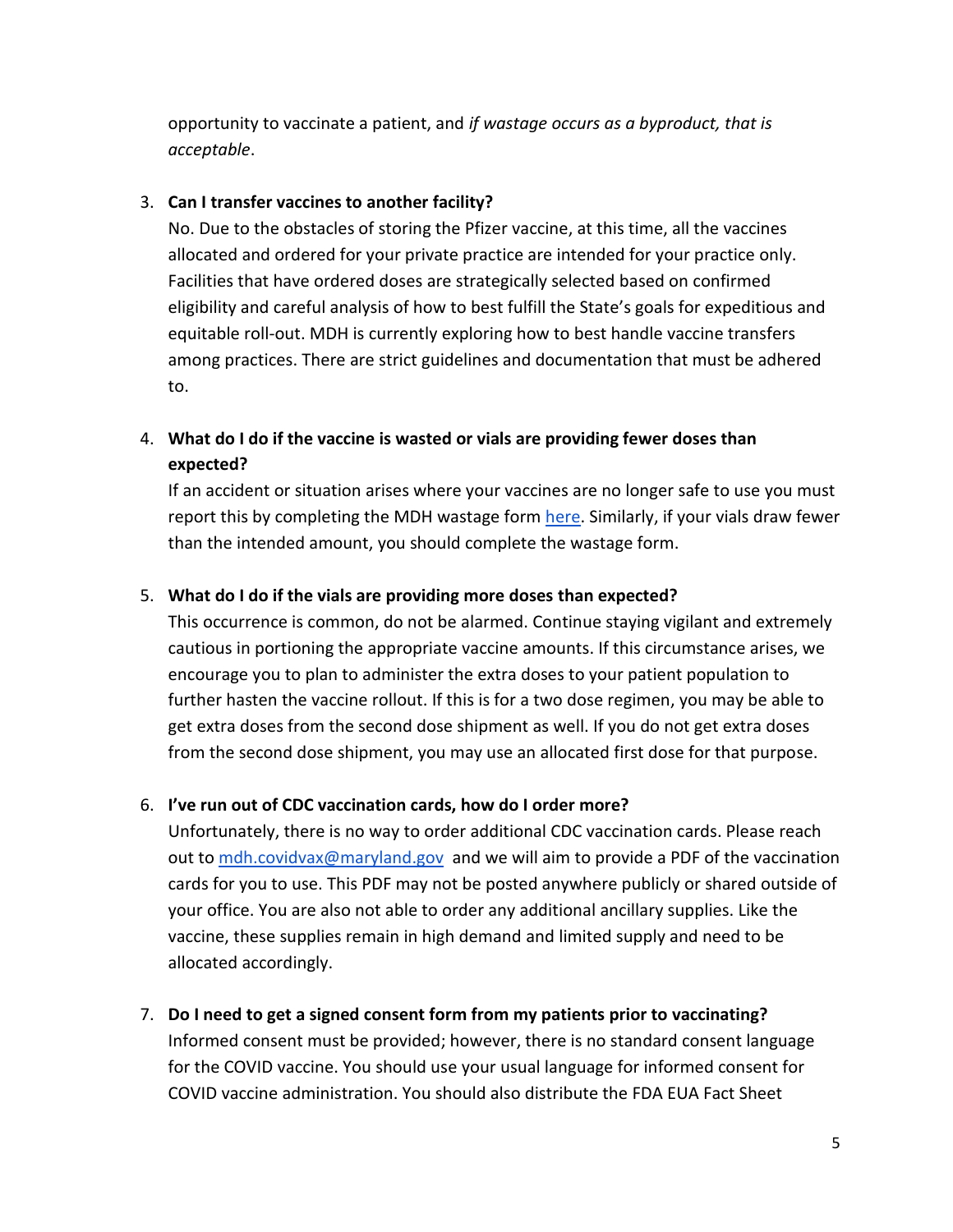opportunity to vaccinate a patient, and *if wastage occurs as a byproduct, that is acceptable*.

#### 3. **Can I transfer vaccines to another facility?**

No. Due to the obstacles of storing the Pfizer vaccine, at this time, all the vaccines allocated and ordered for your private practice are intended for your practice only. Facilities that have ordered doses are strategically selected based on confirmed eligibility and careful analysis of how to best fulfill the State's goals for expeditious and equitable roll-out. MDH is currently exploring how to best handle vaccine transfers among practices. There are strict guidelines and documentation that must be adhered to.

# 4. **What do I do if the vaccine is wasted or vials are providing fewer doses than expected?**

If an accident or situation arises where your vaccines are no longer safe to use you must report this by completing the MDH wastage form [here.](https://www.marylandvfc.org/covid-19-vaccine-excursion-expiration-reporting-form/) Similarly, if your vials draw fewer than the intended amount, you should complete the wastage form.

#### 5. **What do I do if the vials are providing more doses than expected?**

This occurrence is common, do not be alarmed. Continue staying vigilant and extremely cautious in portioning the appropriate vaccine amounts. If this circumstance arises, we encourage you to plan to administer the extra doses to your patient population to further hasten the vaccine rollout. If this is for a two dose regimen, you may be able to get extra doses from the second dose shipment as well. If you do not get extra doses from the second dose shipment, you may use an allocated first dose for that purpose.

### 6. **I've run out of CDC vaccination cards, how do I order more?**

Unfortunately, there is no way to order additional CDC vaccination cards. Please reach out to [mdh.covidvax@maryland.gov](mailto:mdh.covidvax@maryland.gov) and we will aim to provide a PDF of the vaccination cards for you to use. This PDF may not be posted anywhere publicly or shared outside of your office. You are also not able to order any additional ancillary supplies. Like the vaccine, these supplies remain in high demand and limited supply and need to be allocated accordingly.

### 7. **Do I need to get a signed consent form from my patients prior to vaccinating?**

Informed consent must be provided; however, there is no standard consent language for the COVID vaccine. You should use your usual language for informed consent for COVID vaccine administration. You should also distribute the FDA EUA Fact Sheet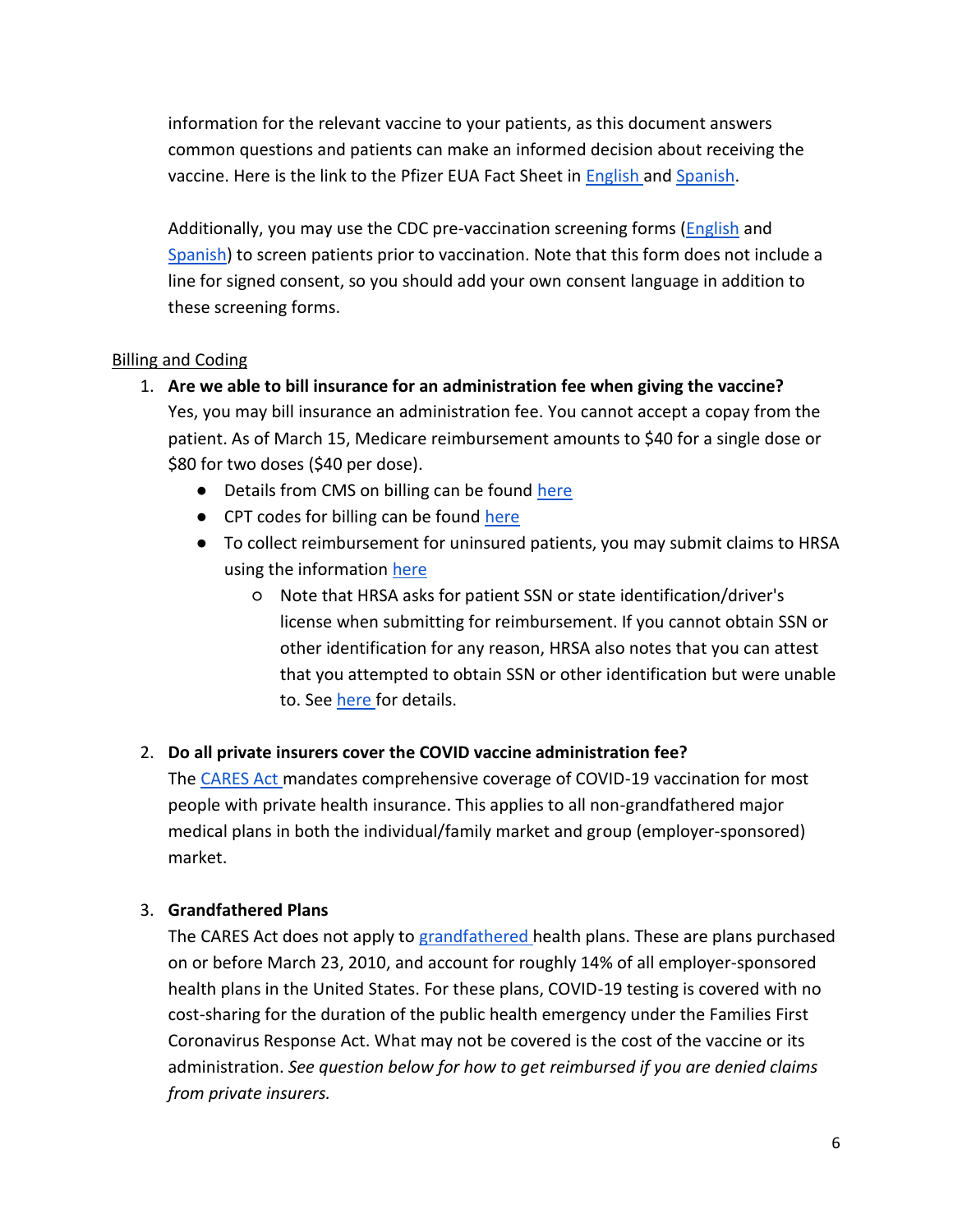information for the relevant vaccine to your patients, as this document answers common questions and patients can make an informed decision about receiving the vaccine. Here is the link to the Pfizer EUA Fact Sheet in [English a](http://labeling.pfizer.com/ShowLabeling.aspx?id=14472&format=pdf)nd [Spanish.](http://labeling.pfizer.com/ShowLabeling.aspx?id=15156)

Additionally, you may use the CDC pre-vaccination screening forms [\(English](https://www.cdc.gov/vaccines/covid-19/downloads/pre-vaccination-screening-form.pdf) and [Spanish\)](https://www.cdc.gov/vaccines/covid-19/downloads/pre-vaccination-screening-form-sp.pdf) to screen patients prior to vaccination. Note that this form does not include a line for signed consent, so you should add your own consent language in addition to these screening forms.

### Billing and Coding

- 1. **Are we able to bill insurance for an administration fee when giving the vaccine?** Yes, you may bill insurance an administration fee. You cannot accept a copay from the patient. As of March 15, Medicare reimbursement amounts to \$40 for a single dose or \$80 for two doses (\$40 per dose).
	- Details from CMS on billing can be found here
	- CPT codes for billing can be found here
	- To collect reimbursement for uninsured patients, you may submit claims to HRSA using the information [here](https://coviduninsuredclaim.linkhealth.com/) 
		- Note that HRSA asks for patient SSN or state identification/driver's license when submitting for reimbursement. If you cannot obtain SSN or other identification for any reason, HRSA also notes that you can attest that you attempted to obtain SSN or other identification but were unable to. See [here f](https://coviduninsuredclaim.linkhealth.com/patient-details.html)or details.

# 2. **Do all private insurers cover the COVID vaccine administration fee?**

The [CARES Act m](https://www.congress.gov/bill/116th-congress/house-bill/748/text)andates comprehensive coverage of COVID-19 vaccination for most people with private health insurance. This applies to all non-grandfathered major medical plans in both the individual/family market and group (employer-sponsored) market.

# 3. **Grandfathered Plans**

The CARES Act does not apply to [grandfathered h](https://www.verywellhealth.com/grandfathered-health-plans-4582142)ealth plans. These are plans purchased on or before March 23, 2010, and account for roughly 14% of all employer-sponsored health plans in the United States. For these plans, COVID-19 testing is covered with no cost-sharing for the duration of the public health emergency under the Families First Coronavirus Response Act. What may not be covered is the cost of the vaccine or its administration. *See question below for how to get reimbursed if you are denied claims from private insurers.*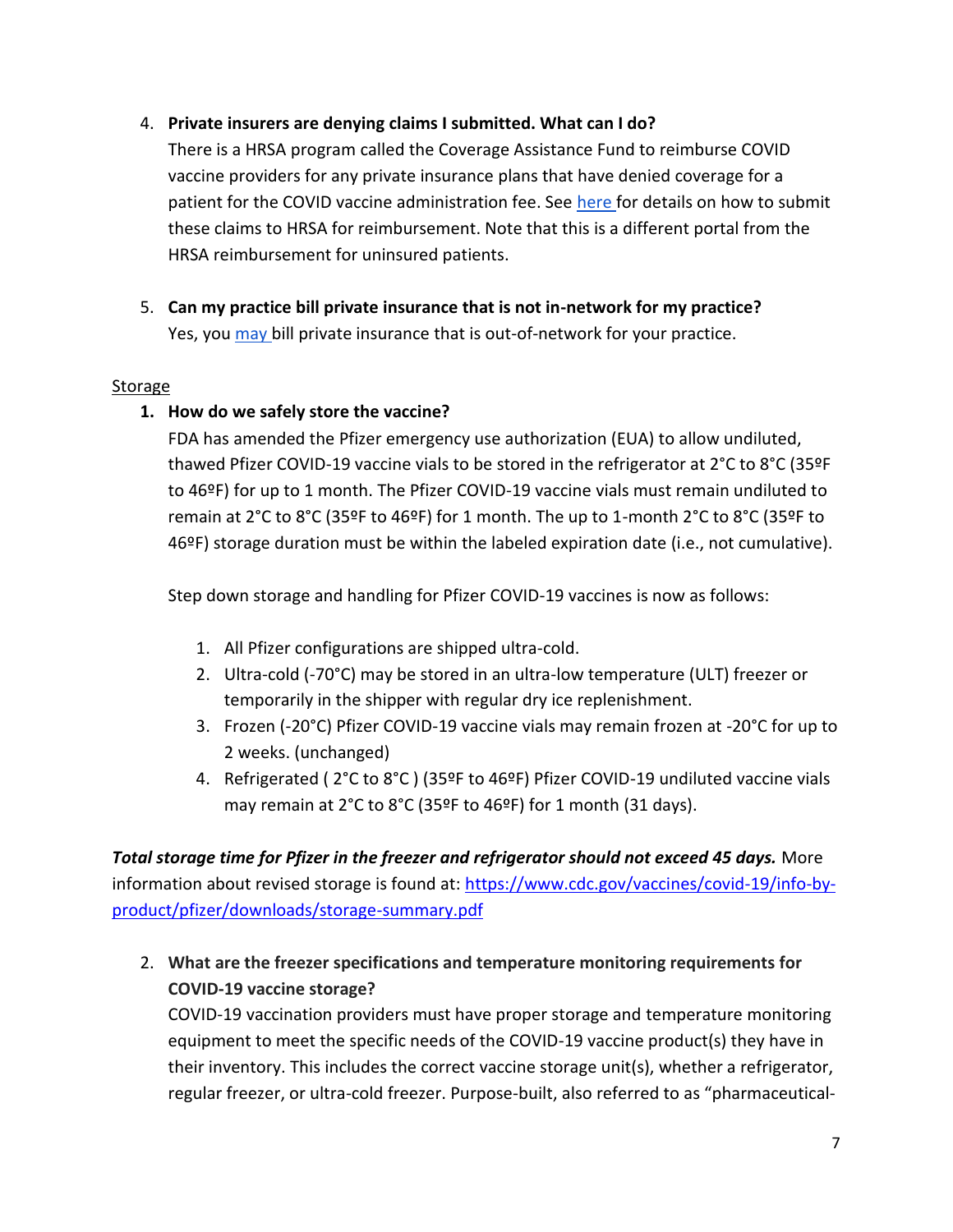### 4. **Private insurers are denying claims I submitted. What can I do?**

There is a HRSA program called the Coverage Assistance Fund to reimburse COVID vaccine providers for any private insurance plans that have denied coverage for a patient for the COVID vaccine administration fee. See [here f](https://www.hrsa.gov/covid19-coverage-assistance)or details on how to submit these claims to HRSA for reimbursement. Note that this is a different portal from the HRSA reimbursement for uninsured patients.

5. **Can my practice bill private insurance that is not in-network for my practice?**  Yes, you [may b](https://www.mercer.com/our-thinking/law-and-policy-group/covid-19-vaccine-considerations-for-group-health-plans.html)ill private insurance that is out-of-network for your practice.

#### Storage

#### **1. How do we safely store the vaccine?**

FDA has amended the Pfizer emergency use authorization (EUA) to allow undiluted, thawed Pfizer COVID-19 vaccine vials to be stored in the refrigerator at 2°C to 8°C (35ºF to 46ºF) for up to 1 month. The Pfizer COVID-19 vaccine vials must remain undiluted to remain at 2°C to 8°C (35ºF to 46ºF) for 1 month. The up to 1-month 2°C to 8°C (35ºF to 46ºF) storage duration must be within the labeled expiration date (i.e., not cumulative).

Step down storage and handling for Pfizer COVID-19 vaccines is now as follows:

- 1. All Pfizer configurations are shipped ultra-cold.
- 2. Ultra-cold (-70°C) may be stored in an ultra-low temperature (ULT) freezer or temporarily in the shipper with regular dry ice replenishment.
- 3. Frozen (-20°C) Pfizer COVID-19 vaccine vials may remain frozen at -20°C for up to 2 weeks. (unchanged)
- 4. Refrigerated ( 2°C to 8°C ) (35ºF to 46ºF) Pfizer COVID-19 undiluted vaccine vials may remain at 2°C to 8°C (35ºF to 46ºF) for 1 month (31 days).

*Total storage time for Pfizer in the freezer and refrigerator should not exceed 45 days.* More information about revised storage is found at: [https://www.cdc.gov/vaccines/covid-19/info-by](https://www.cdc.gov/vaccines/covid-19/info-by-product/pfizer/downloads/storage-summary.pdf)[product/pfizer/downloads/storage-summary.pdf](https://www.cdc.gov/vaccines/covid-19/info-by-product/pfizer/downloads/storage-summary.pdf)

2. **What are the freezer specifications and temperature monitoring requirements for COVID-19 vaccine storage?**

COVID-19 vaccination providers must have proper storage and temperature monitoring equipment to meet the specific needs of the COVID-19 vaccine product(s) they have in their inventory. This includes the correct vaccine storage unit(s), whether a refrigerator, regular freezer, or ultra-cold freezer. Purpose-built, also referred to as "pharmaceutical-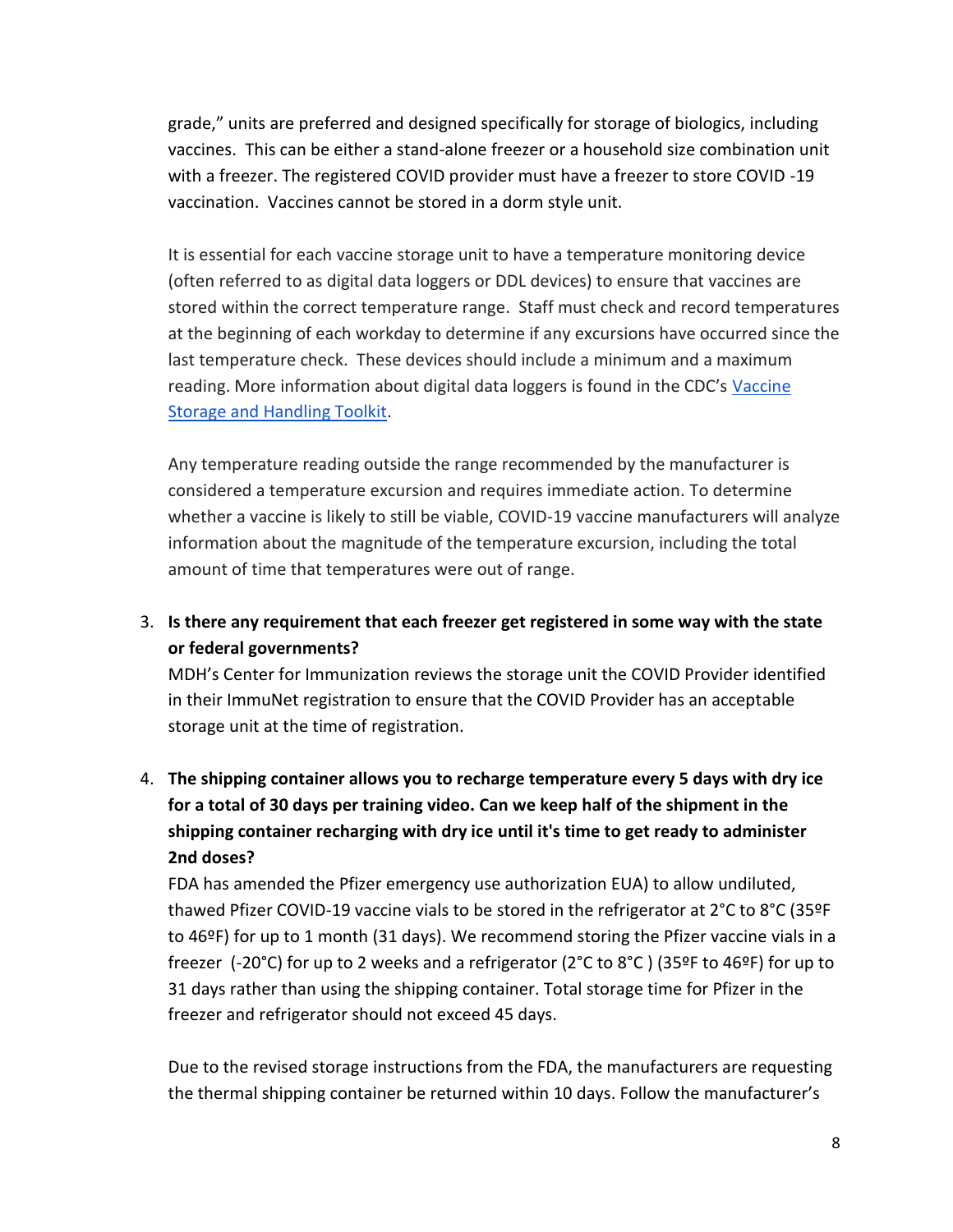grade," units are preferred and designed specifically for storage of biologics, including vaccines. This can be either a stand-alone freezer or a household size combination unit with a freezer. The registered COVID provider must have a freezer to store COVID -19 vaccination. Vaccines cannot be stored in a dorm style unit.

It is essential for each vaccine storage unit to have a temperature monitoring device (often referred to as digital data loggers or DDL devices) to ensure that vaccines are stored within the correct temperature range. Staff must check and record temperatures at the beginning of each workday to determine if any excursions have occurred since the last temperature check. These devices should include a minimum and a maximum reading. More information about digital data loggers is found in the CDC's [Vaccine](https://www.cdc.gov/vaccines/hcp/admin/storage/toolkit/index.html)  [Storage and Handling Toolkit.](https://www.cdc.gov/vaccines/hcp/admin/storage/toolkit/index.html)

Any temperature reading outside the range recommended by the manufacturer is considered a temperature excursion and requires immediate action. To determine whether a vaccine is likely to still be viable, COVID-19 vaccine manufacturers will analyze information about the magnitude of the temperature excursion, including the total amount of time that temperatures were out of range.

3. **Is there any requirement that each freezer get registered in some way with the state or federal governments?**

MDH's Center for Immunization reviews the storage unit the COVID Provider identified in their ImmuNet registration to ensure that the COVID Provider has an acceptable storage unit at the time of registration.

4. **The shipping container allows you to recharge temperature every 5 days with dry ice for a total of 30 days per training video. Can we keep half of the shipment in the shipping container recharging with dry ice until it's time to get ready to administer 2nd doses?**

FDA has amended the Pfizer emergency use authorization EUA) to allow undiluted, thawed Pfizer COVID-19 vaccine vials to be stored in the refrigerator at 2°C to 8°C (35ºF to 46ºF) for up to 1 month (31 days). We recommend storing the Pfizer vaccine vials in a freezer (-20°C) for up to 2 weeks and a refrigerator (2°C to 8°C ) (35ºF to 46ºF) for up to 31 days rather than using the shipping container. Total storage time for Pfizer in the freezer and refrigerator should not exceed 45 days.

Due to the revised storage instructions from the FDA, the manufacturers are requesting the thermal shipping container be returned within 10 days. Follow the manufacturer's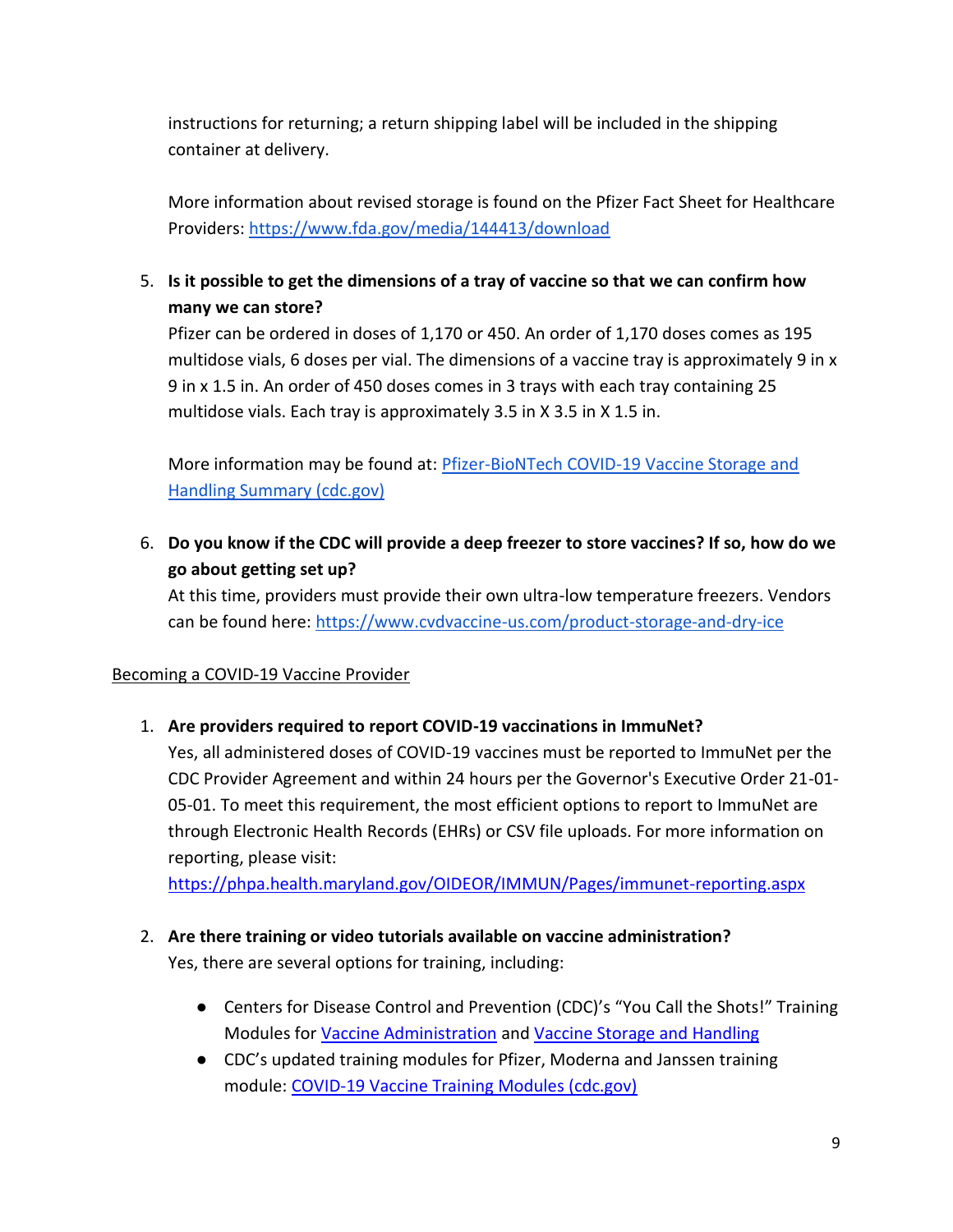instructions for returning; a return shipping label will be included in the shipping container at delivery.

More information about revised storage is found on the Pfizer Fact Sheet for Healthcare Providers: <https://www.fda.gov/media/144413/download>

5. **Is it possible to get the dimensions of a tray of vaccine so that we can confirm how many we can store?**

Pfizer can be ordered in doses of 1,170 or 450. An order of 1,170 doses comes as 195 multidose vials, 6 doses per vial. The dimensions of a vaccine tray is approximately 9 in x 9 in x 1.5 in. An order of 450 doses comes in 3 trays with each tray containing 25 multidose vials. Each tray is approximately 3.5 in X 3.5 in X 1.5 in.

More information may be found at: [Pfizer-BioNTech COVID-19 Vaccine Storage and](https://www.cdc.gov/vaccines/covid-19/info-by-product/pfizer/downloads/storage-summary.pdf)  [Handling Summary \(cdc.gov\)](https://www.cdc.gov/vaccines/covid-19/info-by-product/pfizer/downloads/storage-summary.pdf)

6. **Do you know if the CDC will provide a deep freezer to store vaccines? If so, how do we go about getting set up?**

At this time, providers must provide their own ultra-low temperature freezers. Vendors can be found here:<https://www.cvdvaccine-us.com/product-storage-and-dry-ice>

### Becoming a COVID-19 Vaccine Provider

# 1. **Are providers required to report COVID-19 vaccinations in ImmuNet?**

Yes, all administered doses of COVID-19 vaccines must be reported to ImmuNet per the CDC Provider Agreement and within 24 hours per the Governor's Executive Order 21-01- 05-01. To meet this requirement, the most efficient options to report to ImmuNet are through Electronic Health Records (EHRs) or CSV file uploads. For more information on reporting, please visit:

<https://phpa.health.maryland.gov/OIDEOR/IMMUN/Pages/immunet-reporting.aspx>

- 2. **Are there training or video tutorials available on vaccine administration?** Yes, there are several options for training, including:
	- Centers for Disease Control and Prevention (CDC)'s "You Call the Shots!" Training Modules fo[r](https://www2.cdc.gov/vaccines/ed/vaxadmin/va/ce.asp) [Vaccine Administration](https://www2.cdc.gov/vaccines/ed/vaxadmin/va/ce.asp) an[d](https://www2a.cdc.gov/nip/isd/ycts/mod1/courses/sh/ce.asp) [Vaccine Storage and Handling](https://www2a.cdc.gov/nip/isd/ycts/mod1/courses/sh/ce.asp)
	- CDC's updated training modules for Pfizer, Moderna and Janssen training module: [COVID-19 Vaccine Training Modules \(cdc.gov\)](https://r20.rs6.net/tn.jsp?f=001AjxGhS8nJsWqUjxM_39xOK-nijoFWrkxUu_ZbeXi3b0xh2shWS04MVzLzyTEgM2s4HdaHGQvDVtesFyKHBtuz-FL768jmP7MEfrFxqLPJm4MH0nU_7iYo3hxLsXjWJQajpsQlLykecSxhysVCUPje5mTrdqaHhCaGQSitcX1KZjmNLzLdHBV3w==&c=D-g1HAqoQXYLUlvdC3F9NfKk34IgaMYReCp743QPYwyP-XtEOyBg5g==&ch=iThDhWxKSVkIcVGOEsI_5ZUCPMVLLpMRVlFdTpqvZ1_HZHFXhGKtYg==)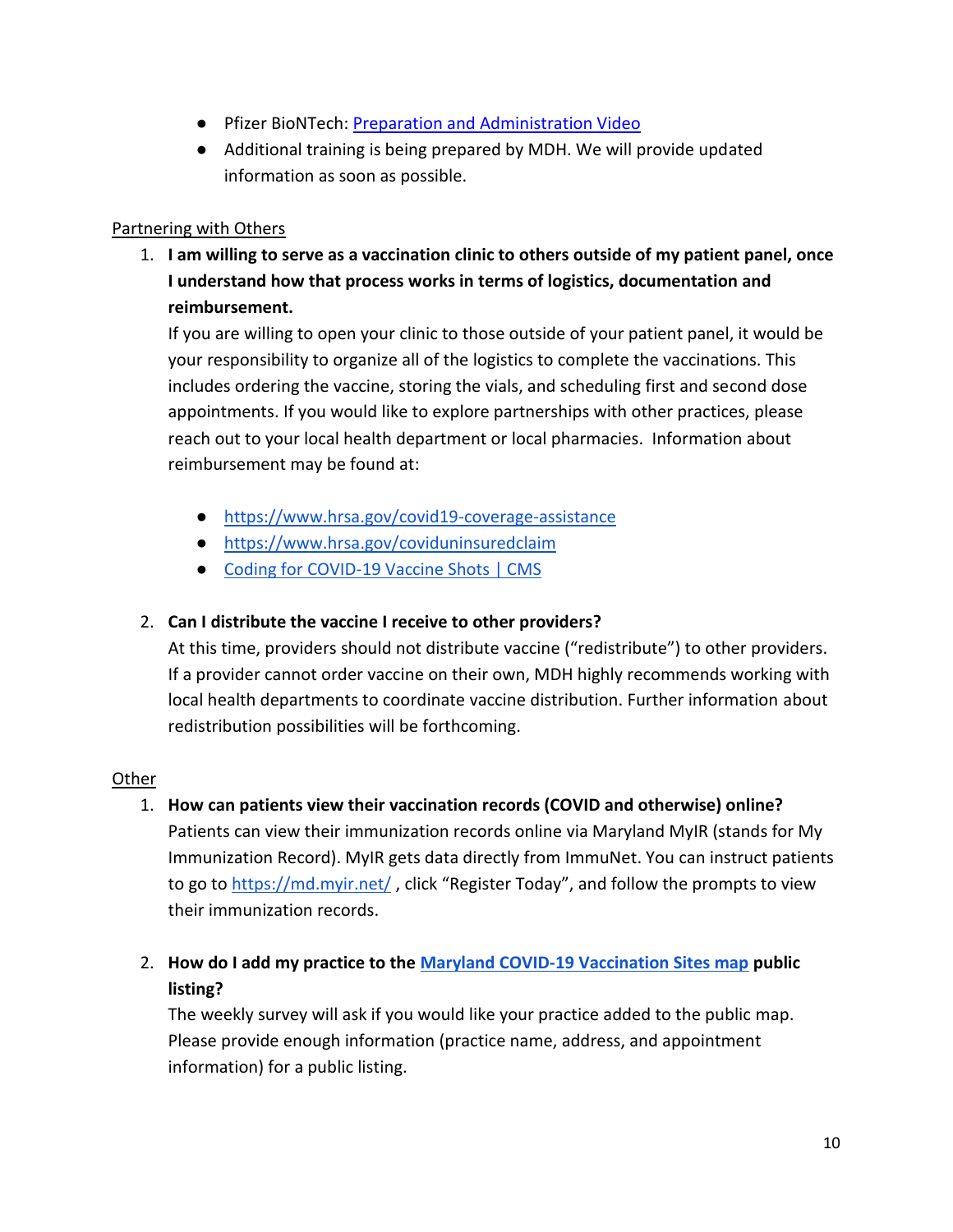- Pfizer BioNTech: [Preparation and Administration Video](https://www.cvdvaccine-us.com/dosing-and-administration)
- Additional training is being prepared by MDH. We will provide updated information as soon as possible.

#### Partnering with Others

1. **I am willing to serve as a vaccination clinic to others outside of my patient panel, once I understand how that process works in terms of logistics, documentation and reimbursement.**

If you are willing to open your clinic to those outside of your patient panel, it would be your responsibility to organize all of the logistics to complete the vaccinations. This includes ordering the vaccine, storing the vials, and scheduling first and second dose appointments. If you would like to explore partnerships with other practices, please reach out to your local health department or local pharmacies. Information about reimbursement may be found at:

- <https://www.hrsa.gov/covid19-coverage-assistance>
- <https://www.hrsa.gov/coviduninsuredclaim>
- [Coding for COVID-19 Vaccine Shots | CMS](https://www.cms.gov/medicare/covid-19/coding-covid-19-vaccine-shots)

### 2. **Can I distribute the vaccine I receive to other providers?**

At this time, providers should not distribute vaccine ("redistribute") to other providers. If a provider cannot order vaccine on their own, MDH highly recommends working with local health departments to coordinate vaccine distribution. Further information about redistribution possibilities will be forthcoming.

#### **Other**

- 1. **How can patients view their vaccination records (COVID and otherwise) online?**  Patients can view their immunization records online via Maryland MyIR (stands for My Immunization Record). MyIR gets data directly from ImmuNet. You can instruct patients to go to<https://md.myir.net/> , click "Register Today", and follow the prompts to view their immunization records.
- 2. **How do I add my practice to the [Maryland COVID-19 Vaccination Sites map](https://maryland.maps.arcgis.com/apps/instant/nearby/index.html?appid=0dbfb100676346ed9758be319ab3f40c) public listing?**

The weekly survey will ask if you would like your practice added to the public map. Please provide enough information (practice name, address, and appointment information) for a public listing.